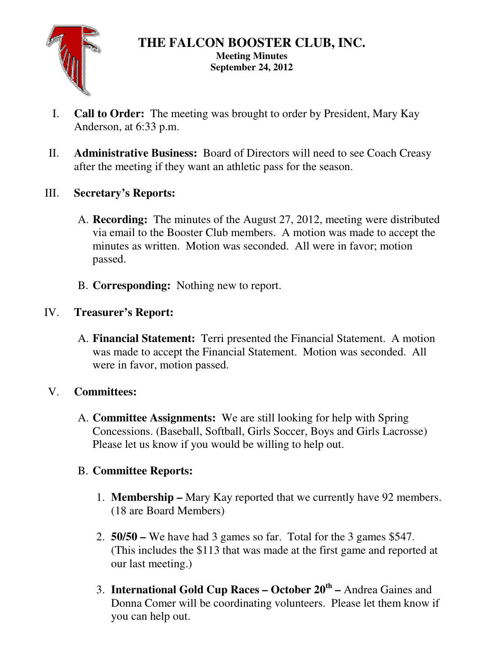

#### **THE FALCON BOOSTER CLUB, INC. Meeting Minutes September 24, 2012**

- I. **Call to Order:** The meeting was brought to order by President, Mary Kay Anderson, at 6:33 p.m.
- II. **Administrative Business:** Board of Directors will need to see Coach Creasy after the meeting if they want an athletic pass for the season.
- III. **Secretary's Reports:** 
	- A. **Recording:** The minutes of the August 27, 2012, meeting were distributed via email to the Booster Club members. A motion was made to accept the minutes as written. Motion was seconded. All were in favor; motion passed.
	- B. **Corresponding:** Nothing new to report.

### IV. **Treasurer's Report:**

A. **Financial Statement:** Terri presented the Financial Statement. A motion was made to accept the Financial Statement. Motion was seconded. All were in favor, motion passed.

# V. **Committees:**

A. **Committee Assignments:** We are still looking for help with Spring Concessions. (Baseball, Softball, Girls Soccer, Boys and Girls Lacrosse) Please let us know if you would be willing to help out.

### B. **Committee Reports:**

- 1. **Membership** Mary Kay reported that we currently have 92 members. (18 are Board Members)
- 2. **50/50** We have had 3 games so far. Total for the 3 games \$547. (This includes the \$113 that was made at the first game and reported at our last meeting.)
- 3. **International Gold Cup Races October 20th** Andrea Gaines and Donna Comer will be coordinating volunteers. Please let them know if you can help out.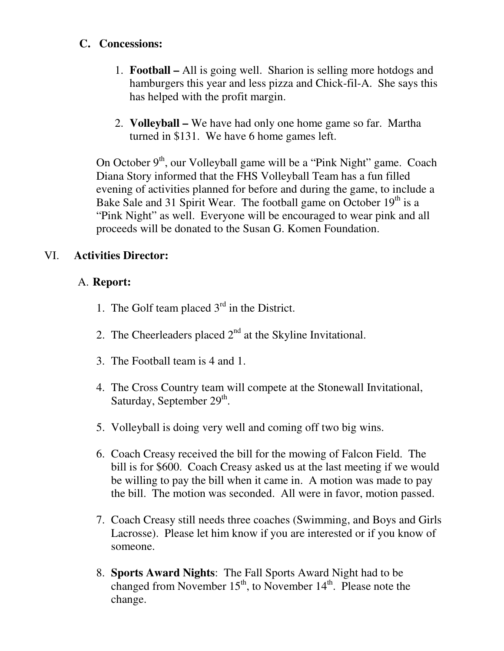### **C. Concessions:**

- 1. **Football** All is going well. Sharion is selling more hotdogs and hamburgers this year and less pizza and Chick-fil-A. She says this has helped with the profit margin.
- 2. **Volleyball** We have had only one home game so far. Martha turned in \$131. We have 6 home games left.

On October 9<sup>th</sup>, our Volleyball game will be a "Pink Night" game. Coach Diana Story informed that the FHS Volleyball Team has a fun filled evening of activities planned for before and during the game, to include a Bake Sale and 31 Spirit Wear. The football game on October  $19<sup>th</sup>$  is a "Pink Night" as well. Everyone will be encouraged to wear pink and all proceeds will be donated to the Susan G. Komen Foundation.

## VI. **Activities Director:**

## A. **Report:**

- 1. The Golf team placed  $3<sup>rd</sup>$  in the District.
- 2. The Cheerleaders placed  $2<sup>nd</sup>$  at the Skyline Invitational.
- 3. The Football team is 4 and 1.
- 4. The Cross Country team will compete at the Stonewall Invitational, Saturday, September 29<sup>th</sup>.
- 5. Volleyball is doing very well and coming off two big wins.
- 6. Coach Creasy received the bill for the mowing of Falcon Field. The bill is for \$600. Coach Creasy asked us at the last meeting if we would be willing to pay the bill when it came in. A motion was made to pay the bill. The motion was seconded. All were in favor, motion passed.
- 7. Coach Creasy still needs three coaches (Swimming, and Boys and Girls Lacrosse). Please let him know if you are interested or if you know of someone.
- 8. **Sports Award Nights**: The Fall Sports Award Night had to be changed from November  $15<sup>th</sup>$ , to November  $14<sup>th</sup>$ . Please note the change.